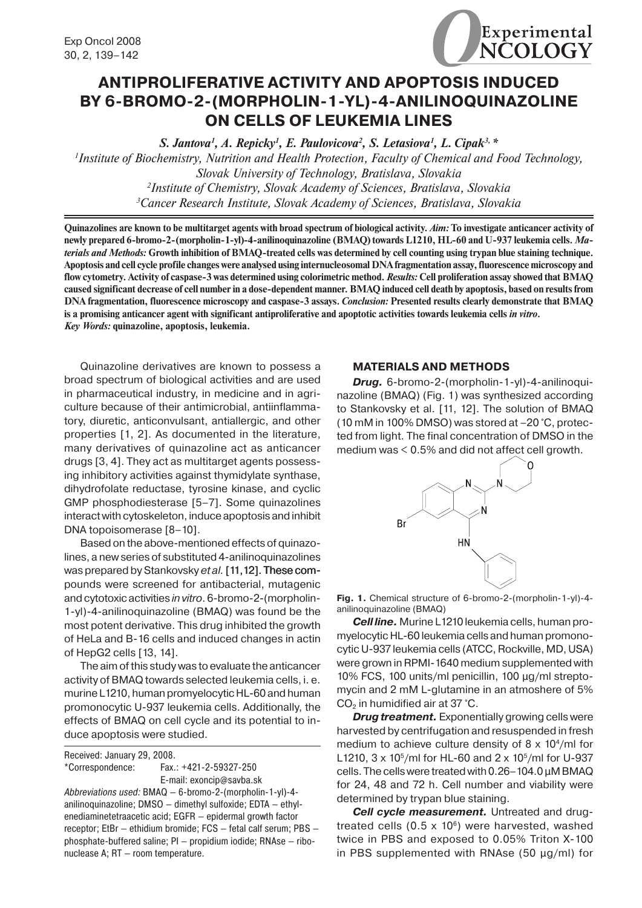

# **ANTIPROLIFERATIVE ACTIVITY AND APOPTOSIS INDUCED BY 6-BROMO-2-(MORPHOLIN-1-YL)-4-ANILINOQUINAZOLINE oN CELLs of LEUKEMIA LINES**

*S. Jantova1 , A. Repicky1 , E. Paulovicova2 , S. Letasiova1 , L. Cipak3, \* 1 Institute of Biochemistry, Nutrition and Health Protection, Faculty of Chemical and Food Technology, Slovak University of Technology, Bratislava, Slovakia 2 Institute of Chemistry, Slovak Academy of Sciences, Bratislava, Slovakia 3 Cancer Research Institute, Slovak Academy of Sciences, Bratislava, Slovakia*

**Quinazolines are known to be multitarget agents with broad spectrum of biological activity.** *Aim:* **To investigate anticancer activity of newly prepared 6-bromo-2-(morpholin-1-yl)-4-anilinoquinazoline (BMAQ) towards L1210, HL-60 and U-937 leukemia cells.** *Materials and Methods:* **Growth inhibition of BMAQ-treated cells was determined by cell counting using trypan blue staining technique. Apoptosis and cell cycle profile changes were analysed using internucleosomal DNA fragmentation assay, fluorescence microscopy and flow cytometry. Activity of caspase-3 was determined using colorimetric method.** *Results:* **Cell proliferation assay showed that BMAQ caused significant decrease of cell number in a dose-dependent manner. BMAQ induced cell death by apoptosis, based on results from DNA fragmentation, fluorescence microscopy and caspase-3 assays.** *Conclusion:* **Presented results clearly demonstrate that BMAQ is a promising anticancer agent with significant antiproliferative and apoptotic activities towards leukemia cells** *in vitro***.** *Key Words:* **quinazoline, apoptosis, leukemia.**

Quinazoline derivatives are known to possess a broad spectrum of biological activities and are used in pharmaceutical industry, in medicine and in agriculture because of their antimicrobial, antiinflammatory, diuretic, anticonvulsant, antiallergic, and other properties [1, 2]. As documented in the literature, many derivatives of quinazoline act as anticancer drugs [3, 4]. They act as multitarget agents possessing inhibitory activities against thymidylate synthase, dihydrofolate reductase, tyrosine kinase, and cyclic GMP phosphodiesterase [5–7]. Some quinazolines interact with cytoskeleton, induce apoptosis and inhibit DNA topoisomerase [8–10].

Based on the above-mentioned effects of quinazolines, a new series of substituted 4-anilinoquinazolines was prepared by Stankovsky et al. [11, 12]. These compounds were screened for antibacterial, mutagenic and cytotoxic activities *in vitro*. 6-bromo-2-(morpholin- 1-yl)-4-anilinoquinazoline (BMAQ) was found be the most potent derivative. This drug inhibited the growth of HeLa and B-16 cells and induced changes in actin of HepG2 cells [13, 14].

The aim of this study was to evaluate the anticancer activity of BMAQ towards selected leukemia cells, i. e. murine L1210, human promyelocytic HL-60 and human promonocytic U-937 leukemia cells. Additionally, the effects of BMAQ on cell cycle and its potential to induce apoptosis were studied.

Received: January 29, 2008.

\*Correspondence: Fax.: +421-2-59327-250 E-mail: exoncip@savba.sk

*Abbreviations used:* BMAQ — 6-bromo-2-(morpholin-1-yl)-4 anilinoquinazoline; DMSO — dimethyl sulfoxide; EDTA — ethylenediaminetetraacetic acid; EGFR — epidermal growth factor receptor; EtBr — ethidium bromide; FCS — fetal calf serum; PBS phosphate-buffered saline; PI — propidium iodide; RNAse — ribonuclease A; RT — room temperature.

### **MATERIALS AND METHODS**

*Drug.* 6-bromo-2-(morpholin-1-yl)-4-anilinoquinazoline (BMAQ) (Fig. 1) was synthesized according to Stankovsky et al. [11, 12]. The solution of BMAQ (10 mM in 100% DMSO) was stored at –20 °C, protected from light. The final concentration of DMSO in the medium was  $< 0.5\%$  and did not affect cell growth.



**Fig. 1.** Chemical structure of 6-bromo-2-(morpholin-1-yl)-4 anilinoquinazoline (BMAQ)

*Cell line.* Murine L1210 leukemia cells, human promyelocytic HL-60 leukemia cells and human promonocytic U-937 leukemia cells (ATCC, Rockville, MD, USA) were grown in RPMI-1640 medium supplemented with 10% FCS, 100 units/ml penicillin, 100 µg/ml streptomycin and 2 mM L-glutamine in an atmoshere of 5%  $CO<sub>2</sub>$  in humidified air at 37 °C.

*Drug treatment.* Exponentially growing cells were harvested by centrifugation and resuspended in fresh medium to achieve culture density of  $8 \times 10^4$ /ml for L1210,  $3 \times 10^5$ /ml for HL-60 and  $2 \times 10^5$ /ml for U-937 cells. The cells were treated with 0.26–104.0 µM BMAQ for 24, 48 and 72 h. Cell number and viability were determined by trypan blue staining.

*Cell cycle measurement.* Untreated and drugtreated cells (0.5  $\times$  10 $\textdegree$ ) were harvested, washed twice in PBS and exposed to 0.05% Triton X-100 in PBS supplemented with RNAse (50 µg/ml) for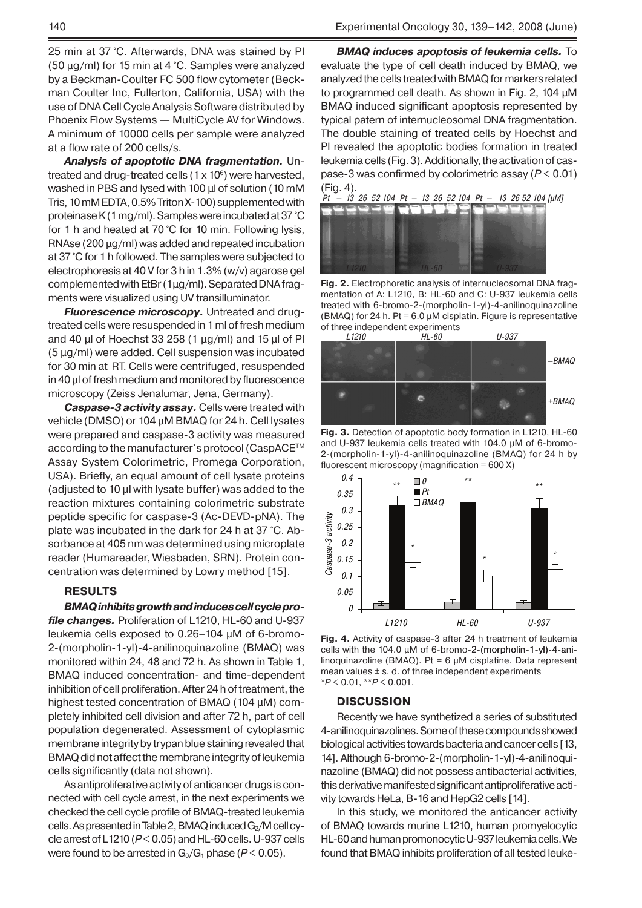25 min at 37 °C. Afterwards, DNA was stained by PI (50 μg/ml) for 15 min at 4 °C. Samples were analyzed by a Beckman-Coulter FC 500 flow cytometer (Beckman Coulter Inc, Fullerton, California, USA) with the use of DNA Cell Cycle Analysis Software distributed by Phoenix Flow Systems — MultiCycle AV for Windows. A minimum of 10000 cells per sample were analyzed at a flow rate of 200 cells/s.

*Analysis of apoptotic DNA fragmentation.* Untreated and drug-treated cells (1  $\times$  10 $^{\rm 6})$  were harvested, washed in PBS and lysed with 100 µl of solution (10 mM Tris,10 mM EDTA,0.5% Triton X-100) supplemented with proteinase K (1 mg/ml). Samples were incubated at 37 °C for 1 h and heated at 70 °C for 10 min. Following lysis, RNAse ( $200 \mu g/ml$ ) was added and repeated incubation at 37 °C for 1 h followed. The samples were subjected to electrophoresis at 40 V for 3 h in 1.3% (w/v) agarose gel complemented with EtBr (1μg/ml). Separated DNA fragments were visualized using UV transilluminator.

*Fluorescence microscopy.* Untreated and drugtreated cells were resuspended in 1 ml of fresh medium and 40 µl of Hoechst 33 258 (1 µg/ml) and 15 µl of Pl (5 µg/ml) were added. Cell suspension was incubated for 30 min at RT. Cells were centrifuged, resuspended in 40 µl of fresh medium and monitored by fluorescence microscopy (Zeiss Jenalumar, Jena, Germany).

*Caspase-3 activity assay.* Cells were treated with vehicle (DMSO) or 104 µM BMAQ for 24 h. Cell lysates were prepared and caspase-3 activity was measured according to the manufacturer`s protocol (CaspACE™ Assay System Colorimetric, Promega Corporation, USA). Briefly, an equal amount of cell lysate proteins (adjusted to 10 µl with lysate buffer) was added to the reaction mixtures containing colorimetric substrate peptide specific for caspase-3 (Ac-DEVD-pNA). The plate was incubated in the dark for 24 h at 37 °C. Absorbance at 405 nm was determined using microplate reader (Humareader, Wiesbaden, SRN). Protein concentration was determined by Lowry method [15].

## **RESULTS**

*BMAQ inhibits growth and induces cell cycle profile changes.* Proliferation of L1210, HL-60 and U-937 leukemia cells exposed to 0.26–104 µM of 6-bromo- 2-(morpholin-1-yl)-4-anilinoquinazoline (BMAQ) was monitored within 24, 48 and 72 h. As shown in Table 1, BMAQ induced concentration- and time-dependent inhibition of cell proliferation. After 24 h of treatment, the highest tested concentration of BMAQ (104 µM) completely inhibited cell division and after 72 h, part of cell population degenerated. Assessment of cytoplasmic membrane integrity by trypan blue staining revealed that BMAQ did not affect the membrane integrity of leukemia cells significantly (data not shown).

As antiproliferative activity of anticancer drugs is connected with cell cycle arrest, in the next experiments we checked the cell cycle profile of BMAQ-treated leukemia cells. As presented in Table 2, BMAQ induced G<sub>2</sub>/M cell cycle arrest of L1210(*P* < 0.05) and HL-60 cells. U-937 cells were found to be arrested in  $G_0/G_1$  phase ( $P < 0.05$ ).

*BMAQ induces apoptosis of leukemia cells.* To evaluate the type of cell death induced by BMAQ, we analyzed the cells treated with BMAQ for markers related to programmed cell death. As shown in Fig. 2, 104 µM BMAQ induced significant apoptosis represented by typical patern of internucleosomal DNA fragmentation. The double staining of treated cells by Hoechst and PI revealed the apoptotic bodies formation in treated leukemia cells (Fig. 3). Additionally, the activation of caspase-3 was confirmed by colorimetric assay (*P* < 0.01)



**Fig. 2.** Electrophoretic analysis of internucleosomal DNA fragmentation of A: L1210, B: HL-60 and C: U-937 leukemia cells treated with 6-bromo-2-(morpholin-1-yl)-4-anilinoquinazoline (BMAQ) for 24 h. Pt =  $6.0 \mu$ M cisplatin. Figure is representative of three independent experiments<br>L1210 HL-60



**Fig. 3.** Detection of apoptotic body formation in L1210, HL-60 and U-937 leukemia cells treated with 104.0 µM of 6-bromo- 2-(morpholin-1-yl)-4-anilinoquinazoline (BMAQ) for 24 h by fluorescent microscopy (magnification = 600 X)



**Fig. 4.** Activity of caspase-3 after 24 h treatment of leukemia cells with the 104.0  $\mu$ M of 6-bromo-2-(morpholin-1-yl)-4-anilinoquinazoline (BMAQ). Pt =  $6 \mu$ M cisplatine. Data represent mean values  $\pm$  s. d. of three independent experiments \**P* < 0.01, \*\**P* < 0.001.

#### **DISCUSSION**

Recently we have synthetized a series of substituted 4-anilinoquinazolines. Some of these compounds showed biological activities towards bacteria and cancer cells [13, 14]. Although 6-bromo-2-(morpholin-1-yl)-4-anilinoquinazoline (BMAQ) did not possess antibacterial activities, this derivative manifested significant antiproliferative activity towards HeLa, B-16 and HepG2 cells [14].

In this study, we monitored the anticancer activity of BMAQ towards murine L1210, human promyelocytic HL-60 and human promonocytic U-937 leukemia cells. We found that BMAQ inhibits proliferation of all tested leuke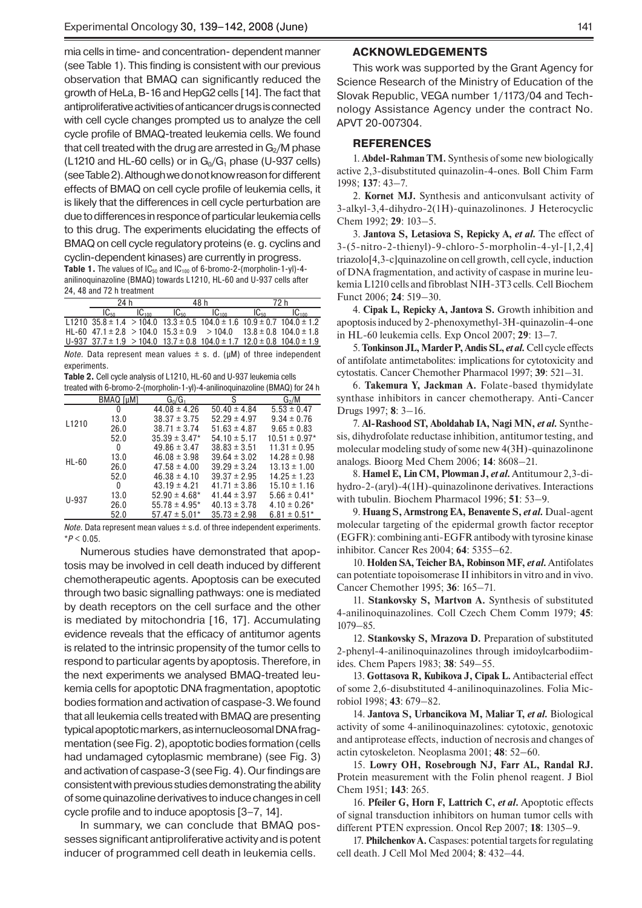mia cells in time- and concentration- dependent manner (see Table 1). This finding is consistent with our previous observation that BMAQ can significantly reduced the growth of HeLa, B-16 and HepG2 cells [14]. The fact that antiproliferative activities of anticancer drugs is connected with cell cycle changes prompted us to analyze the cell cycle profile of BMAQ-treated leukemia cells. We found that cell treated with the drug are arrested in  $G<sub>2</sub>/M$  phase (L1210 and HL-60 cells) or in  $G_0/G_1$  phase (U-937 cells) (see Table 2). Although we do not know reason for different effects of BMAQ on cell cycle profile of leukemia cells, it is likely that the differences in cell cycle perturbation are due to differences in responce of particular leukemia cells to this drug. The experiments elucidating the effects of BMAQ on cell cycle regulatory proteins (e. g. cyclins and cyclin-dependent kinases) are currently in progress.

**Table 1.** The values of  $IC_{50}$  and  $IC_{100}$  of 6-bromo-2-(morpholin-1-yl)-4anilinoquinazoline (BMAQ) towards L1210, HL-60 and U-937 cells after 24, 48 and 72 h treatment

| 24 h |                   | 48 h      |                                                                                              |           |                   |
|------|-------------------|-----------|----------------------------------------------------------------------------------------------|-----------|-------------------|
|      | IC <sub>100</sub> | $IC_{50}$ | IC <sub>100</sub>                                                                            | $IC_{50}$ | IC <sub>100</sub> |
|      |                   |           | L1210 $35.8 \pm 1.4$ > 104.0 $13.3 \pm 0.5$ 104.0 $\pm 1.6$ 10.9 $\pm 0.7$ 104.0 $\pm 1.2$   |           |                   |
|      |                   |           | HL-60 $47.1 \pm 2.8$ > 104.0 $15.3 \pm 0.9$ > 104.0 $13.8 \pm 0.8$ 104.0 $\pm 1.8$           |           |                   |
|      |                   |           | $U-937$ 37.7 $\pm$ 1.9 > 104.0 13.7 $\pm$ 0.8 104.0 $\pm$ 1.7 12.0 $\pm$ 0.8 104.0 $\pm$ 1.9 |           |                   |

*Note.* Data represent mean values  $\pm$  s. d. ( $\mu$ M) of three independent experiments.

**Table 2.** Cell cycle analysis of L1210, HL-60 and U-937 leukemia cells treated with 6-bromo-2-(morpholin-1-yl)-4-anilinoquinazoline (BMAQ) for 24 h

| $\frac{1}{2}$ and $\frac{1}{2}$ and $\frac{1}{2}$ and $\frac{1}{2}$ and $\frac{1}{2}$ and $\frac{1}{2}$ and $\frac{1}{2}$ and $\frac{1}{2}$ and $\frac{1}{2}$ and $\frac{1}{2}$ |                  |                               |                  |                   |  |  |  |
|---------------------------------------------------------------------------------------------------------------------------------------------------------------------------------|------------------|-------------------------------|------------------|-------------------|--|--|--|
|                                                                                                                                                                                 | <b>BMAQ [µM]</b> | $G_0/G_1$                     | S                | $G_2/M$           |  |  |  |
| L1210                                                                                                                                                                           | 0                | $44.08 \pm 4.26$              | $50.40 \pm 4.84$ | $5.53 \pm 0.47$   |  |  |  |
|                                                                                                                                                                                 | 13.0             | $38.37 \pm 3.75$              | $52.29 \pm 4.97$ | $9.34 \pm 0.76$   |  |  |  |
|                                                                                                                                                                                 | 26.0             | $38.71 \pm 3.74$              | $51.63 \pm 4.87$ | $9.65 \pm 0.83$   |  |  |  |
|                                                                                                                                                                                 | 52.0             | $35.39 \pm 3.47*$             | $54.10 \pm 5.17$ | $10.51 \pm 0.97*$ |  |  |  |
| <b>HL-60</b>                                                                                                                                                                    | 0                | $49.86 \pm 3.47$              | $38.83 \pm 3.51$ | $11.31 \pm 0.95$  |  |  |  |
|                                                                                                                                                                                 | 13.0             | $46.08 \pm 3.98$              | $39.64 \pm 3.02$ | $14.28 \pm 0.98$  |  |  |  |
|                                                                                                                                                                                 | 26.0             | $47.58 \pm 4.00$              | $39.29 \pm 3.24$ | $13.13 \pm 1.00$  |  |  |  |
|                                                                                                                                                                                 | 52.0             | $46.38 \pm 4.10$              | $39.37 \pm 2.95$ | $14.25 \pm 1.23$  |  |  |  |
| U-937                                                                                                                                                                           | 0                | $43.19 \pm 4.21$              | $41.71 \pm 3.86$ | $15.10 \pm 1.16$  |  |  |  |
|                                                                                                                                                                                 | 13.0             | $52.90 \pm 4.68^*$            | $41.44 \pm 3.97$ | $5.66 \pm 0.41*$  |  |  |  |
|                                                                                                                                                                                 | 26.0             | $55.78 \pm 4.95$ <sup>*</sup> | $40.13 \pm 3.78$ | $4.10 \pm 0.26*$  |  |  |  |
|                                                                                                                                                                                 | 52.0             | $57.47 \pm 5.01*$             | $35.73 \pm 2.98$ | $6.81 \pm 0.51^*$ |  |  |  |

*Note.* Data represent mean values  $\pm$  s.d. of three independent experiments. \**P* < 0.05.

Numerous studies have demonstrated that apoptosis may be involved in cell death induced by different chemotherapeutic agents. Apoptosis can be executed through two basic signalling pathways: one is mediated by death receptors on the cell surface and the other is mediated by mitochondria [16, 17]. Accumulating evidence reveals that the efficacy of antitumor agents is related to the intrinsic propensity of the tumor cells to respond to particular agents by apoptosis. Therefore, in the next experiments we analysed BMAQ-treated leukemia cells for apoptotic DNA fragmentation, apoptotic bodies formation and activation of caspase-3. We found that all leukemia cells treated with BMAQ are presenting typical apoptotic markers, as internucleosomal DNA fragmentation (see Fig. 2), apoptotic bodies formation (cells had undamaged cytoplasmic membrane) (see Fig. 3) and activation of caspase-3(see Fig. 4). Our findings are consistent with previous studies demonstrating the ability of some quinazoline derivatives to induce changes in cell cycle profile and to induce apoptosis [3–7, 14].

In summary, we can conclude that BMAQ possesses significant antiproliferative activity and is potent inducer of programmed cell death in leukemia cells.

#### **ACKNOWLEDGEMENTS**

This work was supported by the Grant Agency for Science Research of the Ministry of Education of the Slovak Republic, VEGA number 1/1173/04 and Technology Assistance Agency under the contract No. APVT 20-007304.

### **REFERENCES**

1. **Abdel-Rahman TM.** Synthesis of some new biologically active 2,3-disubstituted quinazolin-4-ones. Boll Chim Farm 1998; **137**: 43–7.

2. **Kornet MJ.** Synthesis and anticonvulsant activity of 3-alkyl-3,4-dihydro-2(1H)-quinazolinones. J Heterocyclic Chem 1992; **29**: 103–5.

3. **Jantova S, Letasiova S, Repicky A,** *et al.* The effect of 3-(5-nitro-2-thienyl)-9-chloro-5-morpholin-4-yl-[1,2,4] triazolo[4,3-c]quinazoline on cell growth, cell cycle, induction of DNA fragmentation, and activity of caspase in murine leukemia L1210 cells and fibroblast NIH-3T3 cells. Cell Biochem Funct 2006; **24**: 519–30.

4. **Cipak L, Repicky A, Jantova S.** Growth inhibition and apoptosis induced by 2-phenoxymethyl-3H-quinazolin-4-one in HL-60 leukemia cells. Exp Oncol 2007; **29**: 13–7.

5. **Tonkinson JL, Marder P, Andis SL,** *et al.*Cell cycle effects of antifolate antimetabolites: implications for cytotoxicity and cytostatis. Cancer Chemother Pharmacol 1997; **39**: 521–31.

6. **Takemura Y, Jackman A.** Folate-based thymidylate synthase inhibitors in cancer chemotherapy. Anti-Cancer Drugs 1997; **8**: 3–16.

7. **Al-Rashood ST, Aboldahab IA, Nagi MN,** *et al.* Synthesis, dihydrofolate reductase inhibition, antitumor testing, and molecular modeling study of some new 4(3H)-quinazolinone analogs. Bioorg Med Chem 2006; **14**: 8608–21.

8. **Hamel E, Lin CM, Plowman J,** *et al.*Antitumour 2,3-dihydro-2-(aryl)-4(1H)-quinazolinone derivatives. Interactions with tubulin. Biochem Pharmacol 1996; **51**: 53–9.

9. **Huang S, Armstrong EA, Benavente S,** *et al.* Dual-agent molecular targeting of the epidermal growth factor receptor (EGFR): combining anti-EGFR antibody with tyrosine kinase inhibitor. Cancer Res 2004; **64**: 5355–62.

10. **Holden SA, Teicher BA, Robinson MF,** *et al.*Antifolates can potentiate topoisomerase II inhibitors in vitro and in vivo. Cancer Chemother 1995; **36**: 165–71.

11. **Stankovsky S, Martvon A.** Synthesis of substituted 4-anilinoquinazolines. Coll Czech Chem Comm 1979; **45**: 1079–85.

12. **Stankovsky S, Mrazova D.** Preparation of substituted 2-phenyl-4-anilinoquinazolines through imidoylcarbodiimides. Chem Papers 1983; **38**: 549–55.

13. **Gottasova R, Kubikova J, Cipak L.** Antibacterial effect of some 2,6-disubstituted 4-anilinoquinazolines. Folia Microbiol 1998; **43**: 679–82.

14. **Jantova S, Urbancikova M, Maliar T,** *et al.* Biological activity of some 4-anilinoquinazolines: cytotoxic, genotoxic and antiprotease effects, induction of necrosis and changes of actin cytoskeleton. Neoplasma 2001; **48**: 52–60.

15. **Lowry OH, Rosebrough NJ, Farr AL, Randal RJ.**  Protein measurement with the Folin phenol reagent. J Biol Chem 1951; **143**: 265.

16. **Pfeiler G, Horn F, Lattrich C,** *et al***.** Apoptotic effects of signal transduction inhibitors on human tumor cells with different PTEN expression. Oncol Rep 2007; **18**: 1305–9.

17. **Philchenkov A.** Caspases: potential targets for regulating cell death. J Cell Mol Med 2004; **8**: 432–44.